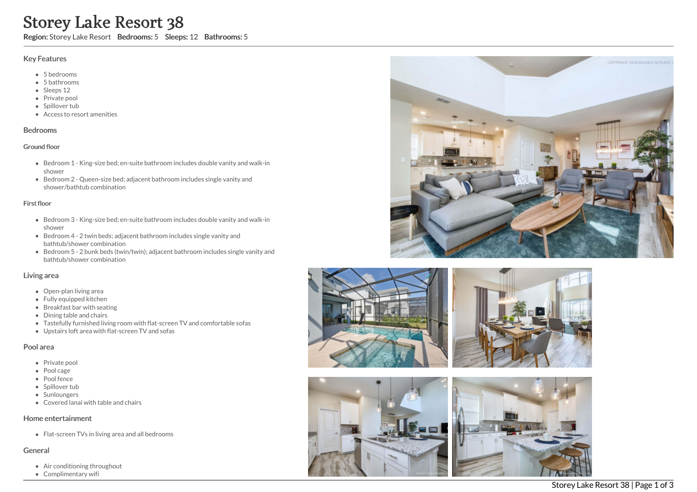# Storey Lake Resor<br>
Key Features<br>
Wey Features<br>
Subsetsion: Storey Lake Resor<br>
Subsetsion<br>
Subsetsion<br>
Subsetsion<br>
Subset of the Private pool<br>
Subset tub<br>
Redrooms<br>
Subset tub<br>
Subset of Bedroom 2 - Queen-siz<br>
shower<br>
Bedro e Resort 38

Region: Storey Lake Resort Bedrooms: 5 Sleeps: 12 Bathrooms: 5

# Key Features

- 5 b e d r o o m s
- 5 b a t h r o o m s
- Sleeps 12
- Private pool
- Spillover tub
- Access to resort amenities

## **Bedrooms**

### Ground floor

- Bedroom 1 King-size bed; en-suite bathroom includes double vanity and walk-in s h o w e r
- Bedroom 2 Queen-size bed; adjacent bathroom includes single vanity and shower/bathtub combination

## First floor

- Bedroom 3 King-size bed; en-suite bathroom includes double vanity and walk-in s h o w e r
- Bedroom 4 2 twin beds; adjacent bathroom includes single vanity and bathtub/shower combination
- Bedroom 5 2 bunk beds (twin/twin); adjacent bathroom includes single vanity and bathtub/shower combination

# Living area

- Open-plan living area
- Fully equipped kitchen
- Breakfast bar with seating
- Dining table and chairs
- Tastefully furnished living room with flat-screen TV and comfortable sofas
- Upstairs loft area with flat-screen TV and sofas

# Pool area

- Private pool
- Pool cage
- Pool fence
- Spillover tub
- Sunloungers
- Covered lanai with table and chairs

# Home entertainment

Flat-screen TVs in living area and all bedrooms

# General

- Air conditioning throughout
- Complimentary





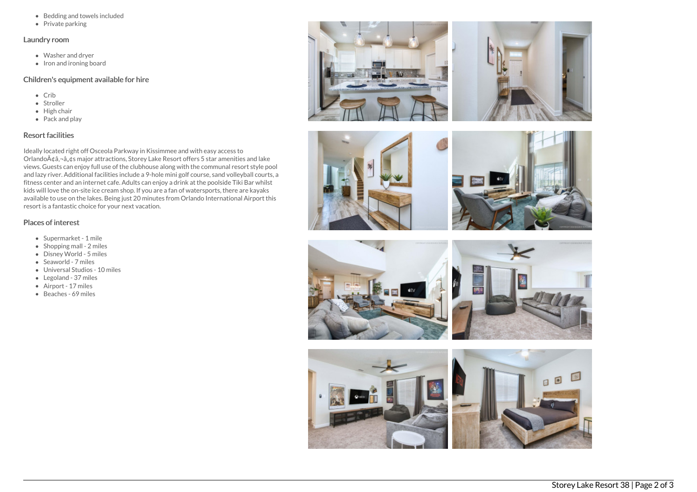- Bedding and towels included
- $\bullet$  Private parking

## Laundry room

- Washer and dryer
- $\bullet$  Iron and ironing board

## Children's equipment available for hire

- Crib
- Stroller
- $\bullet$  High chair
- Pack and play

# Resort facilities

Ideally located right off Osceola Parkway in Kissimmee and with easy access to Orlando $\tilde{A}$ ¢â,¬â, $\tilde{A}$ s major attractions, Storey Lake Resort offers 5 star amenities and lake views. Guests can enjoy full use of the clubhouse along with the communal resort style pool and lazy river. Additional facilities include a 9-hole mini golf course, sand volleyball courts, a fitness center and an internet cafe. Adults can enjoy a drink at the poolside Tiki Bar whilst kids will love the on-site ice cream shop. If you are a fan of watersports, there are kayaks available to use on the lakes. Being just 20 minutes from Orlando International Airport this resort is a fantastic choice for your next vacation.

# Places of interest

- Supermarket 1 mile
- Shopping mall 2 miles
- Disney World 5 miles
- Seaworld 7 miles
- Universal Studios 10 miles
- Legoland 37 miles
- Airport 17 miles
- Beaches 69 miles